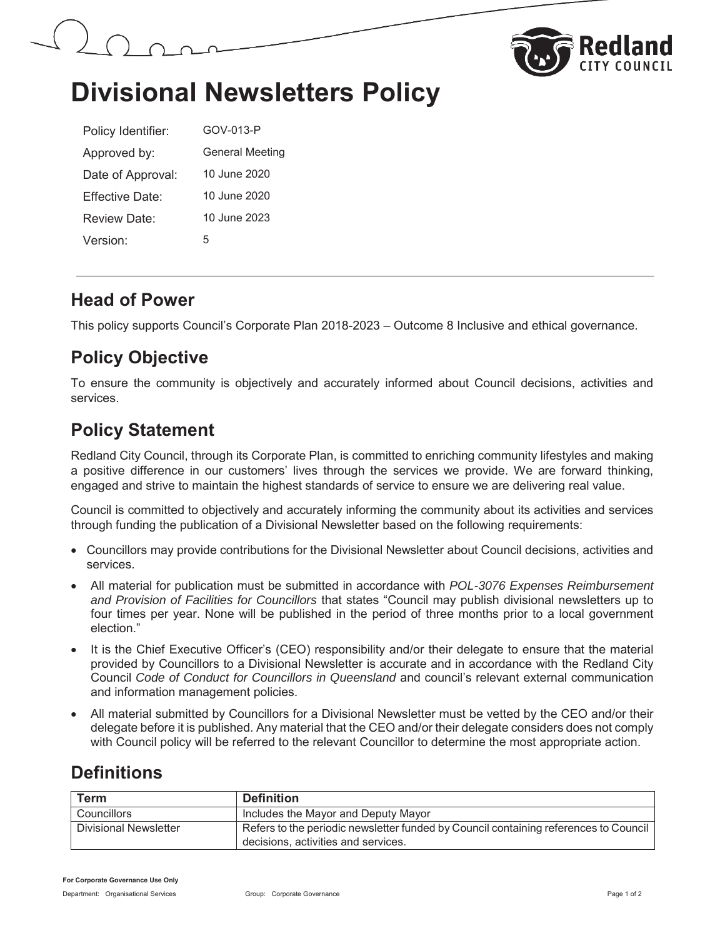



# **Divisional Newsletters Policy**

| Policy Identifier:   | GOV-013-P              |
|----------------------|------------------------|
| Approved by:         | <b>General Meeting</b> |
| Date of Approval:    | 10 June 2020           |
| Fffective Date:      | 10 June 2020           |
| Review Date:         | 10 June 2023           |
| Version <sup>.</sup> | 5                      |

### **Head of Power**

This policy supports Council's Corporate Plan 2018-2023 – Outcome 8 Inclusive and ethical governance.

## **Policy Objective**

To ensure the community is objectively and accurately informed about Council decisions, activities and services.

## **Policy Statement**

Redland City Council, through its Corporate Plan, is committed to enriching community lifestyles and making a positive difference in our customers' lives through the services we provide. We are forward thinking, engaged and strive to maintain the highest standards of service to ensure we are delivering real value.

Council is committed to objectively and accurately informing the community about its activities and services through funding the publication of a Divisional Newsletter based on the following requirements:

- Councillors may provide contributions for the Divisional Newsletter about Council decisions, activities and services.
- x All material for publication must be submitted in accordance with *POL-3076 Expenses Reimbursement and Provision of Facilities for Councillors* that states "Council may publish divisional newsletters up to four times per year. None will be published in the period of three months prior to a local government election."
- It is the Chief Executive Officer's (CEO) responsibility and/or their delegate to ensure that the material provided by Councillors to a Divisional Newsletter is accurate and in accordance with the Redland City Council *Code of Conduct for Councillors in Queensland* and council's relevant external communication and information management policies.
- All material submitted by Councillors for a Divisional Newsletter must be vetted by the CEO and/or their delegate before it is published. Any material that the CEO and/or their delegate considers does not comply with Council policy will be referred to the relevant Councillor to determine the most appropriate action.

## **Definitions**

| Term                  | <b>Definition</b>                                                                                                           |
|-----------------------|-----------------------------------------------------------------------------------------------------------------------------|
| Councillors           | Includes the Mayor and Deputy Mayor                                                                                         |
| Divisional Newsletter | Refers to the periodic newsletter funded by Council containing references to Council<br>decisions, activities and services. |